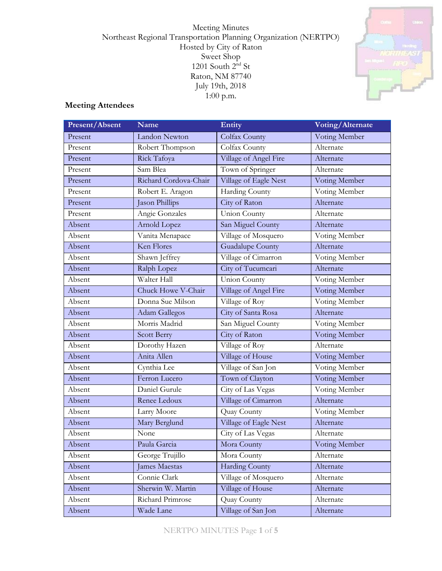Meeting Minutes Northeast Regional Transportation Planning Organization (NERTPO) Hosted by City of Raton Sweet Shop 1201 South  $2<sup>nd</sup>$  St Raton, NM 87740 July 19th, 2018 1:00 p.m.



# **Meeting Attendees**

| Present/Absent | Name                  | Entity                  | Voting/Alternate |
|----------------|-----------------------|-------------------------|------------------|
| Present        | Landon Newton         | <b>Colfax County</b>    | Voting Member    |
| Present        | Robert Thompson       | Colfax County           | Alternate        |
| Present        | Rick Tafoya           | Village of Angel Fire   | Alternate        |
| Present        | Sam Blea              | Town of Springer        | Alternate        |
| Present        | Richard Cordova-Chair | Village of Eagle Nest   | Voting Member    |
| Present        | Robert E. Aragon      | Harding County          | Voting Member    |
| Present        | Jason Phillips        | City of Raton           | Alternate        |
| Present        | Angie Gonzales        | <b>Union County</b>     | Alternate        |
| Absent         | Arnold Lopez          | San Miguel County       | Alternate        |
| Absent         | Vanita Menapace       | Village of Mosquero     | Voting Member    |
| Absent         | Ken Flores            | <b>Guadalupe County</b> | Alternate        |
| Absent         | Shawn Jeffrey         | Village of Cimarron     | Voting Member    |
| Absent         | Ralph Lopez           | City of Tucumcari       | Alternate        |
| Absent         | Walter Hall           | <b>Union County</b>     | Voting Member    |
| Absent         | Chuck Howe V-Chair    | Village of Angel Fire   | Voting Member    |
| Absent         | Donna Sue Milson      | Village of Roy          | Voting Member    |
| Absent         | Adam Gallegos         | City of Santa Rosa      | Alternate        |
| Absent         | Morris Madrid         | San Miguel County       | Voting Member    |
| Absent         | Scott Berry           | City of Raton           | Voting Member    |
| Absent         | Dorothy Hazen         | Village of Roy          | Alternate        |
| Absent         | Anita Allen           | Village of House        | Voting Member    |
| Absent         | Cynthia Lee           | Village of San Jon      | Voting Member    |
| Absent         | Ferron Lucero         | Town of Clayton         | Voting Member    |
| Absent         | Daniel Gurule         | City of Las Vegas       | Voting Member    |
| Absent         | Renee Ledoux          | Village of Cimarron     | Alternate        |
| Absent         | Larry Moore           | Quay County             | Voting Member    |
| Absent         | Mary Berglund         | Village of Eagle Nest   | Alternate        |
| Absent         | None                  | City of Las Vegas       | Alternate        |
| Absent         | Paula Garcia          | Mora County             | Voting Member    |
| Absent         | George Trujillo       | Mora County             | Alternate        |
| Absent         | James Maestas         | Harding County          | Alternate        |
| Absent         | Connie Clark          | Village of Mosquero     | Alternate        |
| Absent         | Sherwin W. Martin     | Village of House        | Alternate        |
| Absent         | Richard Primrose      | Quay County             | Alternate        |
| Absent         | Wade Lane             | Village of San Jon      | Alternate        |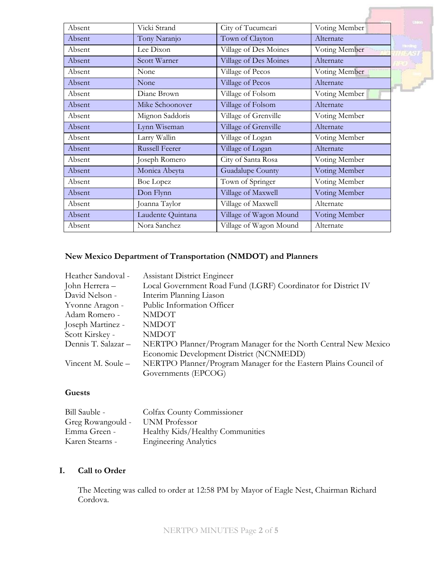| Absent | Vicki Strand          | City of Tucumcari      | Voting Member |
|--------|-----------------------|------------------------|---------------|
| Absent | Tony Naranjo          | Town of Clayton        | Alternate     |
| Absent | Lee Dixon             | Village of Des Moines  | Voting Member |
| Absent | Scott Warner          | Village of Des Moines  | Alternate     |
| Absent | None                  | Village of Pecos       | Voting Member |
| Absent | None                  | Village of Pecos       | Alternate     |
| Absent | Diane Brown           | Village of Folsom      | Voting Member |
| Absent | Mike Schoonover       | Village of Folsom      | Alternate     |
| Absent | Mignon Saddoris       | Village of Grenville   | Voting Member |
| Absent | Lynn Wiseman          | Village of Grenville   | Alternate     |
| Absent | Larry Wallin          | Village of Logan       | Voting Member |
| Absent | <b>Russell Feerer</b> | Village of Logan       | Alternate     |
| Absent | Joseph Romero         | City of Santa Rosa     | Voting Member |
| Absent | Monica Abeyta         | Guadalupe County       | Voting Member |
| Absent | <b>Boe Lopez</b>      | Town of Springer       | Voting Member |
| Absent | Don Flynn             | Village of Maxwell     | Voting Member |
| Absent | Joanna Taylor         | Village of Maxwell     | Alternate     |
| Absent | Laudente Quintana     | Village of Wagon Mound | Voting Member |
| Absent | Nora Sanchez          | Village of Wagon Mound | Alternate     |

# **New Mexico Department of Transportation (NMDOT) and Planners**

| Heather Sandoval -  | <b>Assistant District Engineer</b>                               |
|---------------------|------------------------------------------------------------------|
| John Herrera –      | Local Government Road Fund (LGRF) Coordinator for District IV    |
| David Nelson -      | Interim Planning Liason                                          |
| Yvonne Aragon -     | Public Information Officer                                       |
| Adam Romero -       | <b>NMDOT</b>                                                     |
| Joseph Martinez -   | <b>NMDOT</b>                                                     |
| Scott Kirskey -     | <b>NMDOT</b>                                                     |
| Dennis T. Salazar - | NERTPO Planner/Program Manager for the North Central New Mexico  |
|                     | Economic Development District (NCNMEDD)                          |
| Vincent M. Soule –  | NERTPO Planner/Program Manager for the Eastern Plains Council of |
|                     | Governments (EPCOG)                                              |

#### **Guests**

| Bill Sauble -     | Colfax County Commissioner       |
|-------------------|----------------------------------|
| Greg Rowangould - | UNM Professor                    |
| Emma Green -      | Healthy Kids/Healthy Communities |
| Karen Stearns -   | <b>Engineering Analytics</b>     |

### **I. Call to Order**

The Meeting was called to order at 12:58 PM by Mayor of Eagle Nest, Chairman Richard Cordova.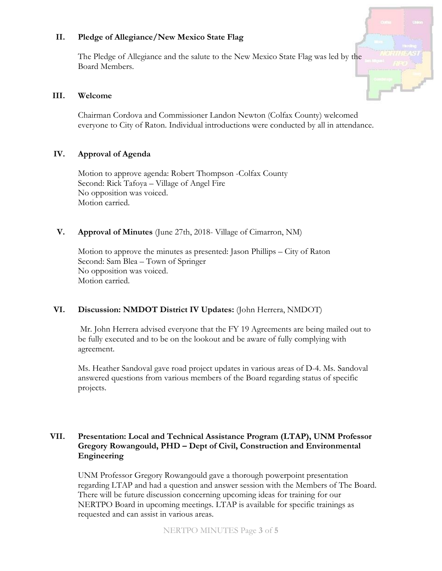## **II. Pledge of Allegiance/New Mexico State Flag**

The Pledge of Allegiance and the salute to the New Mexico State Flag was led by the Board Members.

#### **III. Welcome**

Chairman Cordova and Commissioner Landon Newton (Colfax County) welcomed everyone to City of Raton. Individual introductions were conducted by all in attendance.

### **IV. Approval of Agenda**

Motion to approve agenda: Robert Thompson -Colfax County Second: Rick Tafoya – Village of Angel Fire No opposition was voiced. Motion carried.

## **V. Approval of Minutes** (June 27th, 2018- Village of Cimarron, NM)

Motion to approve the minutes as presented: Jason Phillips – City of Raton Second: Sam Blea – Town of Springer No opposition was voiced. Motion carried.

### **VI. Discussion: NMDOT District IV Updates:** (John Herrera, NMDOT)

Mr. John Herrera advised everyone that the FY 19 Agreements are being mailed out to be fully executed and to be on the lookout and be aware of fully complying with agreement.

Ms. Heather Sandoval gave road project updates in various areas of D-4. Ms. Sandoval answered questions from various members of the Board regarding status of specific projects.

## **VII. Presentation: Local and Technical Assistance Program (LTAP), UNM Professor Gregory Rowangould, PHD – Dept of Civil, Construction and Environmental Engineering**

UNM Professor Gregory Rowangould gave a thorough powerpoint presentation regarding LTAP and had a question and answer session with the Members of The Board. There will be future discussion concerning upcoming ideas for training for our NERTPO Board in upcoming meetings. LTAP is available for specific trainings as requested and can assist in various areas.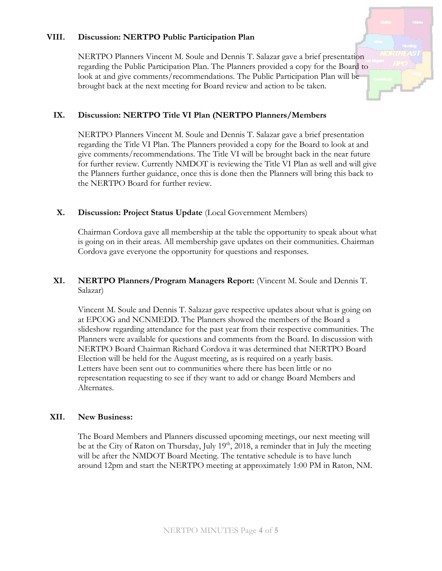#### **VIII. Discussion: NERTPO Public Participation Plan**

NERTPO Planners Vincent M. Soule and Dennis T. Salazar gave a brief presentation regarding the Public Participation Plan. The Planners provided a copy for the Board to look at and give comments/recommendations. The Public Participation Plan will be brought back at the next meeting for Board review and action to be taken.

#### **IX. Discussion: NERTPO Title VI Plan (NERTPO Planners/Members**

NERTPO Planners Vincent M. Soule and Dennis T. Salazar gave a brief presentation regarding the Title VI Plan. The Planners provided a copy for the Board to look at and give comments/recommendations. The Title VI will be brought back in the near future for further review. Currently NMDOT is reviewing the Title VI Plan as well and will give the Planners further guidance, once this is done then the Planners will bring this back to the NERTPO Board for further review.

#### **X. Discussion: Project Status Update** (Local Government Members)

Chairman Cordova gave all membership at the table the opportunity to speak about what is going on in their areas. All membership gave updates on their communities. Chairman Cordova gave everyone the opportunity for questions and responses.

### **XI. NERTPO Planners/Program Managers Report:** (Vincent M. Soule and Dennis T. Salazar)

Vincent M. Soule and Dennis T. Salazar gave respective updates about what is going on at EPCOG and NCNMEDD. The Planners showed the members of the Board a slideshow regarding attendance for the past year from their respective communities. The Planners were available for questions and comments from the Board. In discussion with NERTPO Board Chairman Richard Cordova it was determined that NERTPO Board Election will be held for the August meeting, as is required on a yearly basis. Letters have been sent out to communities where there has been little or no representation requesting to see if they want to add or change Board Members and Alternates.

#### **XII. New Business:**

The Board Members and Planners discussed upcoming meetings, our next meeting will be at the City of Raton on Thursday, July  $19<sup>th</sup>$ , 2018, a reminder that in July the meeting will be after the NMDOT Board Meeting. The tentative schedule is to have lunch around 12pm and start the NERTPO meeting at approximately 1:00 PM in Raton, NM.